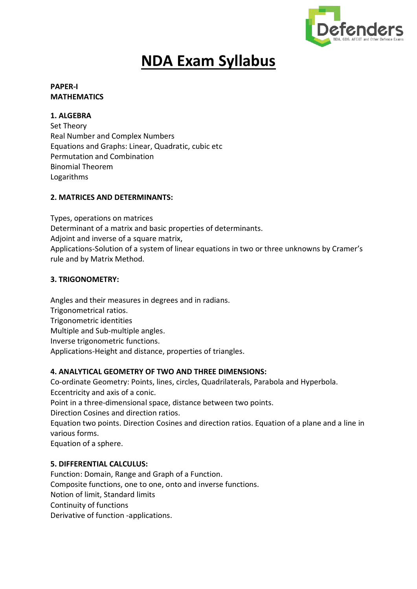

# **NDA Exam Syllabus**

## **PAPER-I MATHEMATICS**

# **1. ALGEBRA**

Set Theory Real Number and Complex Numbers Equations and Graphs: Linear, Quadratic, cubic etc Permutation and Combination Binomial Theorem Logarithms

# **2. MATRICES AND DETERMINANTS:**

Types, operations on matrices Determinant of a matrix and basic properties of determinants. Adjoint and inverse of a square matrix, Applications-Solution of a system of linear equations in two or three unknowns by Cramer's rule and by Matrix Method.

# **3. TRIGONOMETRY:**

Angles and their measures in degrees and in radians. Trigonometrical ratios. Trigonometric identities Multiple and Sub-multiple angles. Inverse trigonometric functions. Applications-Height and distance, properties of triangles.

# **4. ANALYTICAL GEOMETRY OF TWO AND THREE DIMENSIONS:**

Co-ordinate Geometry: Points, lines, circles, Quadrilaterals, Parabola and Hyperbola. Eccentricity and axis of a conic.

Point in a three-dimensional space, distance between two points.

Direction Cosines and direction ratios.

Equation two points. Direction Cosines and direction ratios. Equation of a plane and a line in various forms.

Equation of a sphere.

## **5. DIFFERENTIAL CALCULUS:**

Function: Domain, Range and Graph of a Function. Composite functions, one to one, onto and inverse functions. Notion of limit, Standard limits Continuity of functions Derivative of function -applications.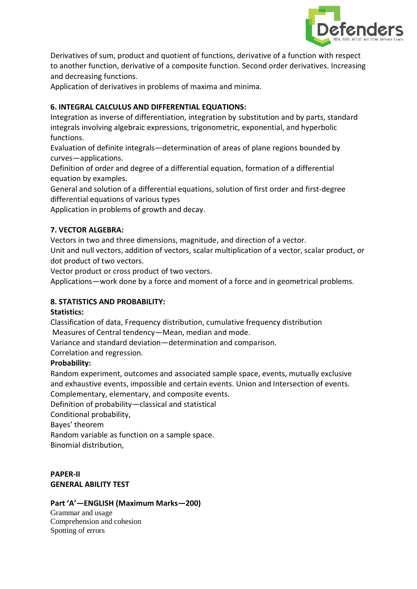

Derivatives of sum, product and quotient of functions, derivative of a function with respect to another function, derivative of a composite function. Second order derivatives. Increasing and decreasing functions.

Application of derivatives in problems of maxima and minima.

## **6. INTEGRAL CALCULUS AND DIFFERENTIAL EQUATIONS:**

Integration as inverse of differentiation, integration by substitution and by parts, standard integrals involving algebraic expressions, trigonometric, exponential, and hyperbolic functions.

Evaluation of definite integrals—determination of areas of plane regions bounded by curves—applications.

Definition of order and degree of a differential equation, formation of a differential equation by examples.

General and solution of a differential equations, solution of first order and first-degree differential equations of various types

Application in problems of growth and decay.

## **7. VECTOR ALGEBRA:**

Vectors in two and three dimensions, magnitude, and direction of a vector.

Unit and null vectors, addition of vectors, scalar multiplication of a vector, scalar product, or dot product of two vectors.

Vector product or cross product of two vectors.

Applications—work done by a force and moment of a force and in geometrical problems.

## **8. STATISTICS AND PROBABILITY:**

#### **Statistics:**

Classification of data, Frequency distribution, cumulative frequency distribution Measures of Central tendency—Mean, median and mode.

Variance and standard deviation—determination and comparison.

Correlation and regression.

## **Probability:**

Random experiment, outcomes and associated sample space, events, mutually exclusive and exhaustive events, impossible and certain events. Union and Intersection of events. Complementary, elementary, and composite events.

Definition of probability—classical and statistical

Conditional probability,

Bayes' theorem

Random variable as function on a sample space.

Binomial distribution,

**PAPER-II GENERAL ABILITY TEST**

## **Part 'A'—ENGLISH (Maximum Marks—200)**

Grammar and usage Comprehension and cohesion Spotting of errors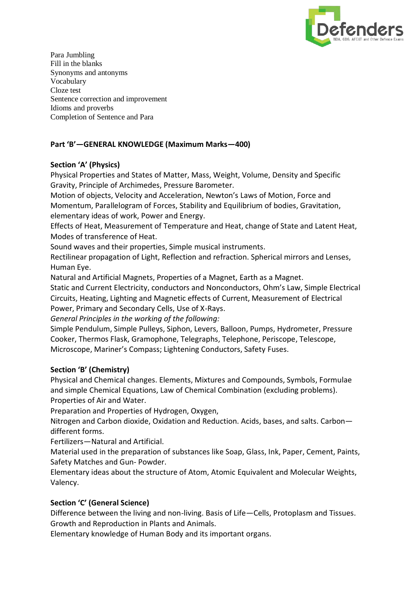

Para Jumbling Fill in the blanks Synonyms and antonyms Vocabulary Cloze test Sentence correction and improvement Idioms and proverbs Completion of Sentence and Para

## **Part 'B'—GENERAL KNOWLEDGE (Maximum Marks—400)**

# **Section 'A' (Physics)**

Physical Properties and States of Matter, Mass, Weight, Volume, Density and Specific Gravity, Principle of Archimedes, Pressure Barometer.

Motion of objects, Velocity and Acceleration, Newton's Laws of Motion, Force and Momentum, Parallelogram of Forces, Stability and Equilibrium of bodies, Gravitation, elementary ideas of work, Power and Energy.

Effects of Heat, Measurement of Temperature and Heat, change of State and Latent Heat, Modes of transference of Heat.

Sound waves and their properties, Simple musical instruments.

Rectilinear propagation of Light, Reflection and refraction. Spherical mirrors and Lenses, Human Eye.

Natural and Artificial Magnets, Properties of a Magnet, Earth as a Magnet.

Static and Current Electricity, conductors and Nonconductors, Ohm's Law, Simple Electrical Circuits, Heating, Lighting and Magnetic effects of Current, Measurement of Electrical Power, Primary and Secondary Cells, Use of X-Rays.

*General Principles in the working of the following:*

Simple Pendulum, Simple Pulleys, Siphon, Levers, Balloon, Pumps, Hydrometer, Pressure Cooker, Thermos Flask, Gramophone, Telegraphs, Telephone, Periscope, Telescope, Microscope, Mariner's Compass; Lightening Conductors, Safety Fuses.

## **Section 'B' (Chemistry)**

Physical and Chemical changes. Elements, Mixtures and Compounds, Symbols, Formulae and simple Chemical Equations, Law of Chemical Combination (excluding problems). Properties of Air and Water.

Preparation and Properties of Hydrogen, Oxygen,

Nitrogen and Carbon dioxide, Oxidation and Reduction. Acids, bases, and salts. Carbon different forms.

Fertilizers—Natural and Artificial.

Material used in the preparation of substances like Soap, Glass, Ink, Paper, Cement, Paints, Safety Matches and Gun- Powder.

Elementary ideas about the structure of Atom, Atomic Equivalent and Molecular Weights, Valency.

## **Section 'C' (General Science)**

Difference between the living and non-living. Basis of Life—Cells, Protoplasm and Tissues. Growth and Reproduction in Plants and Animals.

Elementary knowledge of Human Body and its important organs.